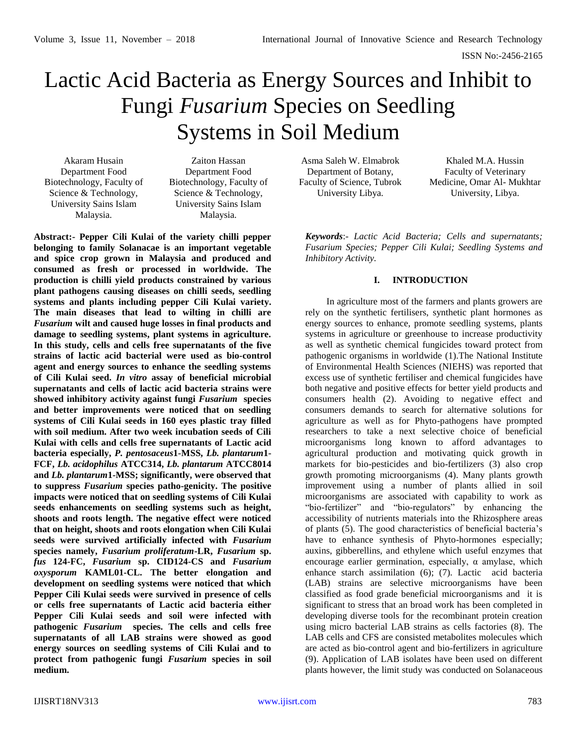# Lactic Acid Bacteria as Energy Sources and Inhibit to Fungi *Fusarium* Species on Seedling Systems in Soil Medium

Akaram Husain Department Food Biotechnology, Faculty of Science & Technology, University Sains Islam Malaysia.

Zaiton Hassan Department Food Biotechnology, Faculty of Science & Technology, University Sains Islam Malaysia.

**Abstract:- Pepper Cili Kulai of the variety chilli pepper belonging to family Solanacae is an important vegetable and spice crop grown in Malaysia and produced and consumed as fresh or processed in worldwide. The production is chilli yield products constrained by various plant pathogens causing diseases on chilli seeds, seedling systems and plants including pepper Cili Kulai variety. The main diseases that lead to wilting in chilli are**  *Fusarium* **wilt and caused huge losses in final products and damage to seedling systems, plant systems in agriculture. In this study, cells and cells free supernatants of the five strains of lactic acid bacterial were used as bio-control agent and energy sources to enhance the seedling systems of Cili Kulai seed.** *In vitro* **assay of beneficial microbial supernatants and cells of lactic acid bacteria strains were showed inhibitory activity against fungi** *Fusarium* **species and better improvements were noticed that on seedling systems of Cili Kulai seeds in 160 eyes plastic tray filled with soil medium. After two week incubation seeds of Cili Kulai with cells and cells free supernatants of Lactic acid bacteria especially,** *P. pentosaceus***1-MSS,** *Lb. plantarum***1- FCF,** *Lb. acidophilus* **ATCC314,** *Lb. plantarum* **ATCC8014 and** *Lb. plantarum***1-MSS; significantly, were observed that to suppress** *Fusarium* **species patho-genicity. The positive impacts were noticed that on seedling systems of Cili Kulai seeds enhancements on seedling systems such as height, shoots and roots length. The negative effect were noticed that on height, shoots and roots elongation when Cili Kulai seeds were survived artificially infected with** *Fusarium* **species namely,** *Fusarium proliferatum***-LR,** *Fusarium* **sp.**  *fus* **124-FC,** *Fusarium* **sp. CID124-CS and** *Fusarium oxysporum* **KAML01-CL. The better elongation and development on seedling systems were noticed that which Pepper Cili Kulai seeds were survived in presence of cells or cells free supernatants of Lactic acid bacteria either Pepper Cili Kulai seeds and soil were infected with pathogenic** *Fusarium* **species. The cells and cells free supernatants of all LAB strains were showed as good energy sources on seedling systems of Cili Kulai and to protect from pathogenic fungi** *Fusarium* **species in soil medium.**

Asma Saleh W. Elmabrok Department of Botany, Faculty of Science, Tubrok University Libya.

Khaled M.A. Hussin Faculty of Veterinary Medicine, Omar Al- Mukhtar University, Libya.

*Keywords*:- *Lactic Acid Bacteria; Cells and supernatants; Fusarium Species; Pepper Cili Kulai; Seedling Systems and Inhibitory Activity.*

# **I. INTRODUCTION**

In agriculture most of the farmers and plants growers are rely on the synthetic fertilisers, synthetic plant hormones as energy sources to enhance, promote seedling systems, plants systems in agriculture or greenhouse to increase productivity as well as synthetic chemical fungicides toward protect from pathogenic organisms in worldwide (1).The National Institute of Environmental Health Sciences (NIEHS) was reported that excess use of synthetic fertiliser and chemical fungicides have both negative and positive effects for better yield products and consumers health (2). Avoiding to negative effect and consumers demands to search for alternative solutions for agriculture as well as for Phyto-pathogens have prompted researchers to take a next selective choice of beneficial microorganisms long known to afford advantages to agricultural production and motivating quick growth in markets for bio-pesticides and bio-fertilizers (3) also crop growth promoting microorganisms (4). Many plants growth improvement using a number of plants allied in soil microorganisms are associated with capability to work as "bio-fertilizer" and "bio-regulators" by enhancing the accessibility of nutrients materials into the Rhizosphere areas of plants (5). The good characteristics of beneficial bacteria's have to enhance synthesis of Phyto-hormones especially; auxins, gibberellins, and ethylene which useful enzymes that encourage earlier germination, especially,  $\alpha$  amylase, which enhance starch assimilation (6); (7). Lactic acid bacteria (LAB) strains are selective microorganisms have been classified as food grade beneficial microorganisms and it is significant to stress that an broad work has been completed in developing diverse tools for the recombinant protein creation using micro bacterial LAB strains as cells factories (8). The LAB cells and CFS are consisted metabolites molecules which are acted as bio-control agent and bio-fertilizers in agriculture (9). Application of LAB isolates have been used on different plants however, the limit study was conducted on Solanaceous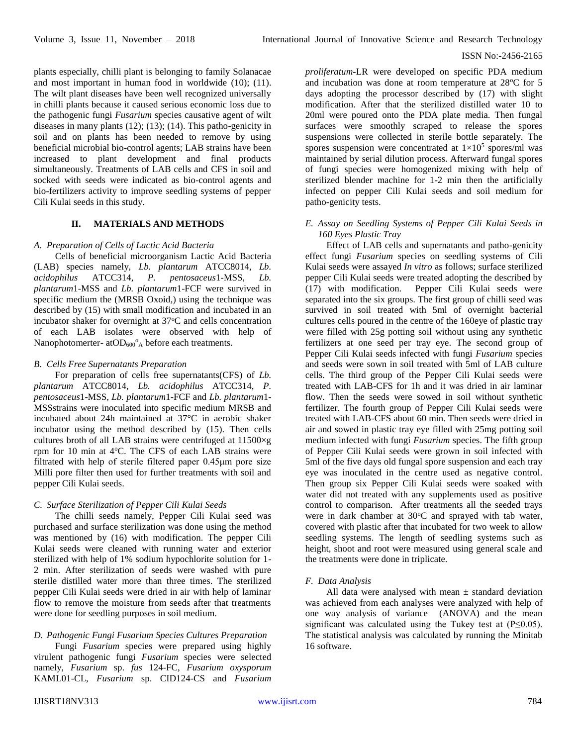plants especially, chilli plant is belonging to family Solanacae and most important in human food in worldwide (10); (11). The wilt plant diseases have been well recognized universally in chilli plants because it caused serious economic loss due to the pathogenic fungi *Fusarium* species causative agent of wilt diseases in many plants (12); (13); (14). This patho-genicity in soil and on plants has been needed to remove by using beneficial microbial bio-control agents; LAB strains have been increased to plant development and final products simultaneously. Treatments of LAB cells and CFS in soil and socked with seeds were indicated as bio-control agents and bio-fertilizers activity to improve seedling systems of pepper Cili Kulai seeds in this study.

#### **II. MATERIALS AND METHODS**

## *A. Preparation of Cells of Lactic Acid Bacteria*

Cells of beneficial microorganism Lactic Acid Bacteria (LAB) species namely, *Lb. plantarum* ATCC8014, *Lb. acidophilus* ATCC314, *P. pentosaceus*1-MSS, *Lb. plantarum*1-MSS and *Lb. plantarum*1-FCF were survived in specific medium the (MRSB Oxoid,) using the technique was described by (15) with small modification and incubated in an incubator shaker for overnight at  $37^{\circ}$ C and cells concentration of each LAB isolates were observed with help of Nanophotomerter-  $\alpha$ to $D_{600}$ <sup>o</sup><sub>A</sub> before each treatments.

## *B. Cells Free Supernatants Preparation*

For preparation of cells free supernatants(CFS) of *Lb. plantarum* ATCC8014, *Lb. acidophilus* ATCC314, *P. pentosaceus*1-MSS, *Lb. plantarum*1-FCF and *Lb. plantarum*1- MSSstrains were inoculated into specific medium MRSB and incubated about 24h maintained at 37°C in aerobic shaker incubator using the method described by (15). Then cells cultures broth of all LAB strains were centrifuged at 11500×g rpm for 10 min at 4°C. The CFS of each LAB strains were filtrated with help of sterile filtered paper 0.45μm pore size Milli pore filter then used for further treatments with soil and pepper Cili Kulai seeds.

## *C. Surface Sterilization of Pepper Cili Kulai Seeds*

The chilli seeds namely, Pepper Cili Kulai seed was purchased and surface sterilization was done using the method was mentioned by (16) with modification. The pepper Cili Kulai seeds were cleaned with running water and exterior sterilized with help of 1% sodium hypochlorite solution for 1- 2 min. After sterilization of seeds were washed with pure sterile distilled water more than three times. The sterilized pepper Cili Kulai seeds were dried in air with help of laminar flow to remove the moisture from seeds after that treatments were done for seedling purposes in soil medium.

# *D. Pathogenic Fungi Fusarium Species Cultures Preparation*

Fungi *Fusarium* species were prepared using highly virulent pathogenic fungi *Fusarium* species were selected namely, *Fusarium* sp. *fus* 124-FC, *Fusarium oxysporum*  KAML01-CL, *Fusarium* sp. CID124-CS and *Fusarium*  *proliferatum*-LR were developed on specific PDA medium and incubation was done at room temperature at  $28^{\circ}$ C for 5 days adopting the processor described by (17) with slight modification. After that the sterilized distilled water 10 to 20ml were poured onto the PDA plate media. Then fungal surfaces were smoothly scraped to release the spores suspensions were collected in sterile bottle separately. The spores suspension were concentrated at  $1\times10^5$  spores/ml was maintained by serial dilution process. Afterward fungal spores of fungi species were homogenized mixing with help of sterilized blender machine for 1-2 min then the artificially infected on pepper Cili Kulai seeds and soil medium for patho-genicity tests.

# *E. Assay on Seedling Systems of Pepper Cili Kulai Seeds in 160 Eyes Plastic Tray*

Effect of LAB cells and supernatants and patho-genicity effect fungi *Fusarium* species on seedling systems of Cili Kulai seeds were assayed *In vitro* as follows; surface sterilized pepper Cili Kulai seeds were treated adopting the described by (17) with modification. Pepper Cili Kulai seeds were separated into the six groups. The first group of chilli seed was survived in soil treated with 5ml of overnight bacterial cultures cells poured in the centre of the 160eye of plastic tray were filled with 25g potting soil without using any synthetic fertilizers at one seed per tray eye. The second group of Pepper Cili Kulai seeds infected with fungi *Fusarium* species and seeds were sown in soil treated with 5ml of LAB culture cells. The third group of the Pepper Cili Kulai seeds were treated with LAB-CFS for 1h and it was dried in air laminar flow. Then the seeds were sowed in soil without synthetic fertilizer. The fourth group of Pepper Cili Kulai seeds were treated with LAB-CFS about 60 min. Then seeds were dried in air and sowed in plastic tray eye filled with 25mg potting soil medium infected with fungi *Fusarium* species. The fifth group of Pepper Cili Kulai seeds were grown in soil infected with 5ml of the five days old fungal spore suspension and each tray eye was inoculated in the centre used as negative control. Then group six Pepper Cili Kulai seeds were soaked with water did not treated with any supplements used as positive control to comparison. After treatments all the seeded trays were in dark chamber at  $30^{\circ}$ C and sprayed with tab water, covered with plastic after that incubated for two week to allow seedling systems. The length of seedling systems such as height, shoot and root were measured using general scale and the treatments were done in triplicate.

#### *F. Data Analysis*

All data were analysed with mean  $\pm$  standard deviation was achieved from each analyses were analyzed with help of one way analysis of variance (ANOVA) and the mean significant was calculated using the Tukey test at  $(P \le 0.05)$ . The statistical analysis was calculated by running the Minitab 16 software.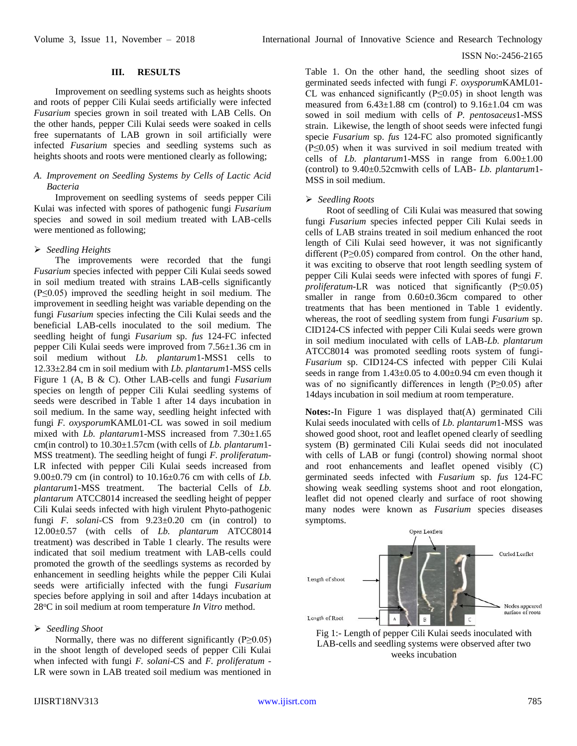#### ISSN No:-2456-2165

# **III. RESULTS**

Improvement on seedling systems such as heights shoots and roots of pepper Cili Kulai seeds artificially were infected *Fusarium* species grown in soil treated with LAB Cells. On the other hands, pepper Cili Kulai seeds were soaked in cells free supernatants of LAB grown in soil artificially were infected *Fusarium* species and seedling systems such as heights shoots and roots were mentioned clearly as following;

# *A. Improvement on Seedling Systems by Cells of Lactic Acid Bacteria*

Improvement on seedling systems of seeds pepper Cili Kulai was infected with spores of pathogenic fungi *Fusarium* species and sowed in soil medium treated with LAB-cells were mentioned as following;

#### *Seedling Heights*

The improvements were recorded that the fungi *Fusarium* species infected with pepper Cili Kulai seeds sowed in soil medium treated with strains LAB-cells significantly (P≤0.05) improved the seedling height in soil medium. The improvement in seedling height was variable depending on the fungi *Fusarium* species infecting the Cili Kulai seeds and the beneficial LAB-cells inoculated to the soil medium. The seedling height of fungi *Fusarium* sp. *fus* 124-FC infected pepper Cili Kulai seeds were improved from 7.56±1.36 cm in soil medium without *Lb. plantarum*1-MSS1 cells to 12.33±2.84 cm in soil medium with *Lb. plantarum*1-MSS cells Figure 1 (A, B & C). Other LAB-cells and fungi *Fusarium*  species on length of pepper Cili Kulai seedling systems of seeds were described in Table 1 after 14 days incubation in soil medium. In the same way, seedling height infected with fungi *F. oxysporum*KAML01-CL was sowed in soil medium mixed with *Lb. plantarum*1-MSS increased from 7.30±1.65 cm(in control) to 10.30±1.57cm (with cells of *Lb. plantarum*1- MSS treatment). The seedling height of fungi *F. proliferatum*-LR infected with pepper Cili Kulai seeds increased from 9.00±0.79 cm (in control) to 10.16±0.76 cm with cells of *Lb. plantarum*1-MSS treatment. The bacterial Cells of *Lb. plantarum* ATCC8014 increased the seedling height of pepper Cili Kulai seeds infected with high virulent Phyto-pathogenic fungi *F. solani*-CS from 9.23±0.20 cm (in control) to 12.00±0.57 (with cells of *Lb. plantarum* ATCC8014 treatment) was described in Table 1 clearly. The results were indicated that soil medium treatment with LAB-cells could promoted the growth of the seedlings systems as recorded by enhancement in seedling heights while the pepper Cili Kulai seeds were artificially infected with the fungi *Fusarium* species before applying in soil and after 14days incubation at 28<sup>o</sup>C in soil medium at room temperature *In Vitro* method.

#### *Seedling Shoot*

Normally, there was no different significantly  $(P \ge 0.05)$ in the shoot length of developed seeds of pepper Cili Kulai when infected with fungi *F. solani*-CS and *F. proliferatum* - LR were sown in LAB treated soil medium was mentioned in

Table 1. On the other hand, the seedling shoot sizes of germinated seeds infected with fungi *F. oxysporum*KAML01- CL was enhanced significantly (P≤0.05) in shoot length was measured from  $6.43\pm1.88$  cm (control) to  $9.16\pm1.04$  cm was sowed in soil medium with cells of *P. pentosaceus*1-MSS strain. Likewise, the length of shoot seeds were infected fungi specie *Fusarium* sp. *fus* 124-FC also promoted significantly (P≤0.05) when it was survived in soil medium treated with cells of *Lb. plantarum*1-MSS in range from 6.00±1.00 (control) to 9.40±0.52cmwith cells of LAB- *Lb. plantarum*1- MSS in soil medium.

## *Seedling Roots*

Root of seedling of Cili Kulai was measured that sowing fungi *Fusarium* species infected pepper Cili Kulai seeds in cells of LAB strains treated in soil medium enhanced the root length of Cili Kulai seed however, it was not significantly different (P≥0.05) compared from control. On the other hand, it was exciting to observe that root length seedling system of pepper Cili Kulai seeds were infected with spores of fungi *F. proliferatum*-LR was noticed that significantly (P≤0.05) smaller in range from  $0.60 \pm 0.36$ cm compared to other treatments that has been mentioned in Table 1 evidently. whereas, the root of seedling system from fungi *Fusarium* sp. CID124-CS infected with pepper Cili Kulai seeds were grown in soil medium inoculated with cells of LAB-*Lb. plantarum*  ATCC8014 was promoted seedling roots system of fungi-*Fusarium* sp. CID124-CS infected with pepper Cili Kulai seeds in range from  $1.43\pm0.05$  to  $4.00\pm0.94$  cm even though it was of no significantly differences in length (P≥0.05) after 14days incubation in soil medium at room temperature.

**Notes:-**In Figure 1 was displayed that(A) germinated Cili Kulai seeds inoculated with cells of *Lb. plantarum*1-MSS was showed good shoot, root and leaflet opened clearly of seedling system (B) germinated Cili Kulai seeds did not inoculated with cells of LAB or fungi (control) showing normal shoot and root enhancements and leaflet opened visibly (C) germinated seeds infected with *Fusarium* sp. *fus* 124-FC showing weak seedling systems shoot and root elongation, leaflet did not opened clearly and surface of root showing many nodes were known as *Fusarium* species diseases symptoms.



Fig 1:- Length of pepper Cili Kulai seeds inoculated with LAB-cells and seedling systems were observed after two weeks incubation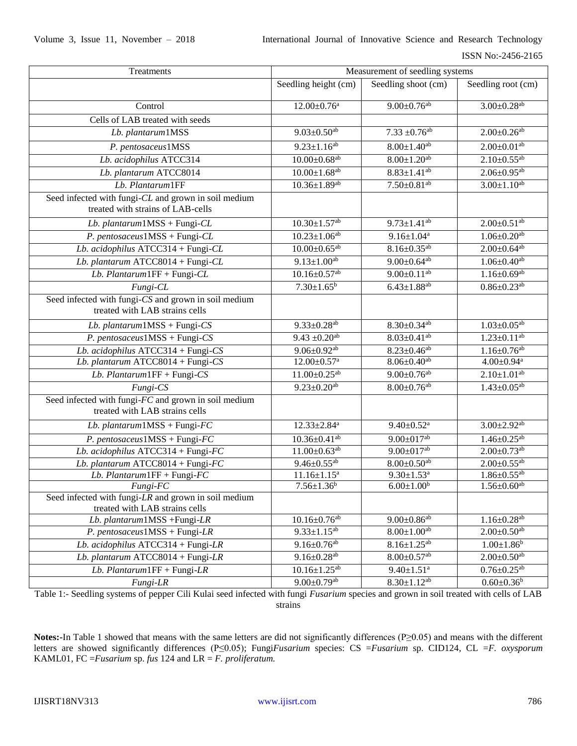| Treatments                                                                                | Measurement of seedling systems |                               |                               |
|-------------------------------------------------------------------------------------------|---------------------------------|-------------------------------|-------------------------------|
|                                                                                           | Seedling height (cm)            | Seedling shoot (cm)           | Seedling root (cm)            |
| Control                                                                                   | $12.00 \pm 0.76$ <sup>a</sup>   | $9.00 \pm 0.76$ <sup>ab</sup> | $3.00 \pm 0.28$ <sup>ab</sup> |
| Cells of LAB treated with seeds                                                           |                                 |                               |                               |
| Lb. plantarum1MSS                                                                         | $9.03 \pm 0.50$ <sup>ab</sup>   | $7.33 \pm 0.76$ <sup>ab</sup> | $2.00 \pm 0.26$ <sup>ab</sup> |
| P. pentosaceus1MSS                                                                        | $9.23 \pm 1.16^{ab}$            | $8.00 \pm 1.40$ <sup>ab</sup> | $2.00 \pm 0.01$ <sup>ab</sup> |
| Lb. acidophilus ATCC314                                                                   | $10.00 \pm 0.68$ <sup>ab</sup>  | $8.00 \pm 1.20$ <sup>ab</sup> | $2.10 \pm 0.55$ <sup>ab</sup> |
| Lb. plantarum ATCC8014                                                                    | $10.00 \pm 1.68$ <sup>ab</sup>  | $8.83 \pm 1.41$ <sup>ab</sup> | $2.06 \pm 0.95$ <sup>ab</sup> |
| Lb. Plantarum1FF                                                                          | $10.36 \pm 1.89$ <sup>ab</sup>  | $7.50 \pm 0.81$ <sup>ab</sup> | $3.00 \pm 1.10^{ab}$          |
| Seed infected with fungi-CL and grown in soil medium<br>treated with strains of LAB-cells |                                 |                               |                               |
| Lb. plantarum1MSS + Fungi-CL                                                              | $10.30 \pm 1.57$ <sup>ab</sup>  | $9.73 \pm 1.41^{ab}$          | $2.00 \pm 0.51$ <sup>ab</sup> |
| $P.$ pentosaceus1MSS + Fungi-CL                                                           | $10.23 \pm 1.06^{ab}$           | $9.16 \pm 1.04^a$             | $1.06 \pm 0.20$ <sup>ab</sup> |
| Lb. acidophilus $ATCC314 + Fungi-CL$                                                      | $10.00 \pm 0.65$ <sup>ab</sup>  | $8.16 \pm 0.35$ <sup>ab</sup> | $2.00 \pm 0.64$ <sup>ab</sup> |
| Lb. plantarum ATCC8014 + Fungi-CL                                                         | $9.13 \pm 1.00^{ab}$            | $9.00 \pm 0.64^{ab}$          | $1.06 \pm 0.40^{ab}$          |
| $Lb.$ Plantarum1FF + Fungi-CL                                                             | $10.16 \pm 0.57$ <sup>ab</sup>  | $9.00 \pm 0.11$ <sup>ab</sup> | $1.16 \pm 0.69$ <sup>ab</sup> |
| Fungi-CL                                                                                  | $7.30 \pm 1.65^b$               | $6.43 \pm 1.88$ <sup>ab</sup> | $0.86 \pm 0.23$ <sup>ab</sup> |
| Seed infected with fungi-CS and grown in soil medium<br>treated with LAB strains cells    |                                 |                               |                               |
| Lb. plantarum $1MSS + Fungi-CS$                                                           | $9.33 \pm 0.28$ <sup>ab</sup>   | $8.30 \pm 0.34$ <sup>ab</sup> | $1.03 \pm 0.05$ <sup>ab</sup> |
| $P.$ pentosaceus1MSS + Fungi-CS                                                           | $9.43 \pm 0.20$ <sup>ab</sup>   | $8.03 \pm 0.41$ <sup>ab</sup> | $1.23 \pm 0.11^{ab}$          |
| Lb. acidophilus $ATCC314 + Fungi-CS$                                                      | $9.06 \pm 0.92$ <sup>ab</sup>   | $8.23 \pm 0.46$ <sup>ab</sup> | $1.16 \pm 0.76$ <sup>ab</sup> |
| Lb. plantarum $ATCC8014 + Fungi-CS$                                                       | $12.00 \pm 0.57$ <sup>a</sup>   | $8.06 \pm 0.40$ <sup>ab</sup> | $4.00 \pm 0.94$ <sup>a</sup>  |
| $Lb.$ Plantarum1FF + Fungi-CS                                                             | $11.00 \pm 0.25$ <sup>ab</sup>  | $9.00 \pm 0.76$ <sup>ab</sup> | $2.10 \pm 1.01^{ab}$          |
| Fungi-CS                                                                                  | $9.23 \pm 0.20$ <sup>ab</sup>   | $8.00 \pm 0.76$ <sup>ab</sup> | $1.43 \pm 0.05$ <sup>ab</sup> |
| Seed infected with fungi-FC and grown in soil medium<br>treated with LAB strains cells    |                                 |                               |                               |
| Lb. plantarum $1MSS + Fungi-FC$                                                           | $12.33 \pm 2.84$ <sup>a</sup>   | $9.40 \pm 0.52$ <sup>a</sup>  | $3.00 \pm 2.92$ <sup>ab</sup> |
| $P.$ pentosaceus1MSS + Fungi- $FC$                                                        | $10.36 \pm 0.41$ <sup>ab</sup>  | $9.00 \pm 017$ <sup>ab</sup>  | $1.46 \pm 0.25$ <sup>ab</sup> |
| Lb. acidophilus ATCC314 + Fungi-FC                                                        | $11.00 \pm 0.63^{ab}$           | $9.00 \pm 017$ <sup>ab</sup>  | $2.00 \pm 0.73$ <sup>ab</sup> |
| Lb. plantarum ATCC8014 + Fungi-FC                                                         | $9.46 \pm 0.55$ <sup>ab</sup>   | $8.00 \pm 0.50$ <sup>ab</sup> | $2.00 \pm 0.55$ <sup>ab</sup> |
| $Lb.$ Plantarum1FF + Fungi- $FC$                                                          | $11.16 \pm 1.15^a$              | $9.30 \pm 1.53$ <sup>a</sup>  | $1.86 \pm 0.55$ <sup>ab</sup> |
| $Fungi$ - $FC$                                                                            | $7.56 \pm 1.36$ <sup>b</sup>    | $6.00 \pm 1.00$ <sup>b</sup>  | $1.56 \pm 0.60$ <sup>ab</sup> |
| Seed infected with fungi- $LR$ and grown in soil medium<br>treated with LAB strains cells |                                 |                               |                               |
| Lb. plantarum1MSS +Fungi-LR                                                               | $10.16 \pm 0.76$ <sup>ab</sup>  | $9.00 \pm 0.86$ <sup>ab</sup> | $1.16 \pm 0.28$ <sup>ab</sup> |
| $P.$ pentosaceus1MSS + Fungi-LR                                                           | $9.33 \pm 1.15^{ab}$            | $8.00 \pm 1.00$ <sup>ab</sup> | $2.00 \pm 0.50$ <sup>ab</sup> |
| Lb. acidophilus $ATCC314 + Fungi-LR$                                                      | $9.16 \pm 0.76$ <sup>ab</sup>   | $8.16 \pm 1.25$ <sup>ab</sup> | $1.00 \pm 1.86$ <sup>b</sup>  |
| Lb. plantarum ATCC8014 + Fungi-LR                                                         | $9.16 \pm 0.28$ <sup>ab</sup>   | $8.00 \pm 0.57$ <sup>ab</sup> | $2.00 \pm 0.50$ <sup>ab</sup> |
| Lb. Plantarum1FF + Fungi-LR                                                               | $10.16 \pm 1.25$ <sup>ab</sup>  | $9.40 \pm 1.51$ <sup>a</sup>  | $0.76 \pm 0.25$ <sup>ab</sup> |
| Fungi-LR                                                                                  | $9.00 \pm 0.79$ <sup>ab</sup>   | $8.30 \pm 1.12$ <sup>ab</sup> | $0.60 \pm 0.36^b$             |

Table 1:- Seedling systems of pepper Cili Kulai seed infected with fungi *Fusarium* species and grown in soil treated with cells of LAB strains

**Notes:-**In Table 1 showed that means with the same letters are did not significantly differences (P≥0.05) and means with the different letters are showed significantly differences (P≤0.05); Fungi*Fusarium* species: CS =*Fusarium* sp. CID124*,* CL =*F. oxysporum*  KAML01*,* FC =*Fusarium* sp. *fus* 124 and LR = *F. proliferatum.*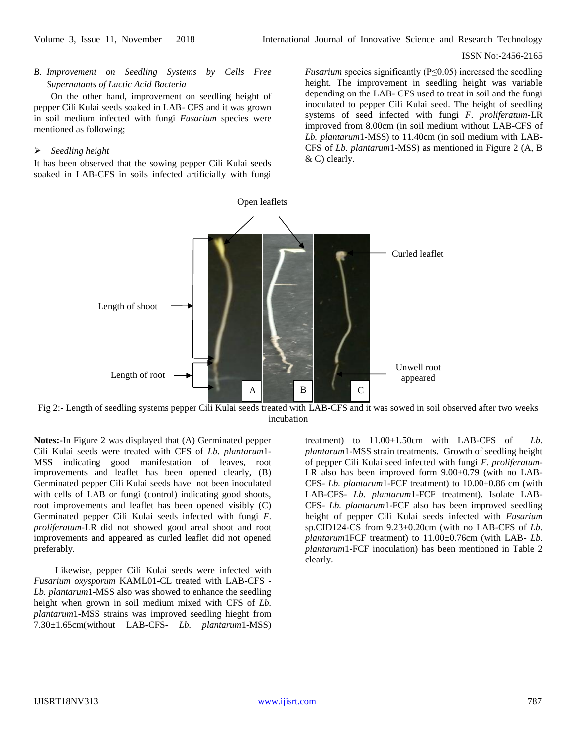#### ISSN No:-2456-2165

*B. Improvement on Seedling Systems by Cells Free Supernatants of Lactic Acid Bacteria*

On the other hand, improvement on seedling height of pepper Cili Kulai seeds soaked in LAB- CFS and it was grown in soil medium infected with fungi *Fusarium* species were mentioned as following;

## *Seedling height*

It has been observed that the sowing pepper Cili Kulai seeds soaked in LAB-CFS in soils infected artificially with fungi *Fusarium* species significantly (P≤0.05) increased the seedling height. The improvement in seedling height was variable depending on the LAB- CFS used to treat in soil and the fungi inoculated to pepper Cili Kulai seed. The height of seedling systems of seed infected with fungi *F. proliferatum*-LR improved from 8.00cm (in soil medium without LAB-CFS of *Lb. plantarum*1-MSS) to 11.40cm (in soil medium with LAB-CFS of *Lb. plantarum*1-MSS) as mentioned in Figure 2 (A, B & C) clearly.



Fig 2:- Length of seedling systems pepper Cili Kulai seeds treated with LAB-CFS and it was sowed in soil observed after two weeks incubation

**Notes:-**In Figure 2 was displayed that (A) Germinated pepper Cili Kulai seeds were treated with CFS of *Lb. plantarum*1- MSS indicating good manifestation of leaves, root improvements and leaflet has been opened clearly, (B) Germinated pepper Cili Kulai seeds have not been inoculated with cells of LAB or fungi (control) indicating good shoots, root improvements and leaflet has been opened visibly (C) Germinated pepper Cili Kulai seeds infected with fungi *F. proliferatum*-LR did not showed good areal shoot and root improvements and appeared as curled leaflet did not opened preferably.

Likewise, pepper Cili Kulai seeds were infected with *Fusarium oxysporum* KAML01-CL treated with LAB-CFS - *Lb. plantarum*1-MSS also was showed to enhance the seedling height when grown in soil medium mixed with CFS of *Lb. plantarum*1-MSS strains was improved seedling hieght from 7.30±1.65cm(without LAB-CFS- *Lb. plantarum*1-MSS)

treatment) to 11.00±1.50cm with LAB-CFS of *Lb. plantarum*1-MSS strain treatments. Growth of seedling height of pepper Cili Kulai seed infected with fungi *F. proliferatum*-LR also has been improved form 9.00±0.79 (with no LAB-CFS- *Lb. plantarum*1-FCF treatment) to 10.00±0.86 cm (with LAB-CFS- *Lb. plantarum*1-FCF treatment). Isolate LAB-CFS- *Lb. plantarum*1-FCF also has been improved seedling height of pepper Cili Kulai seeds infected with *Fusarium* sp.CID124-CS from 9.23±0.20cm (with no LAB-CFS of *Lb. plantarum*1FCF treatment) to 11.00±0.76cm (with LAB- *Lb. plantarum*1-FCF inoculation) has been mentioned in Table 2 clearly.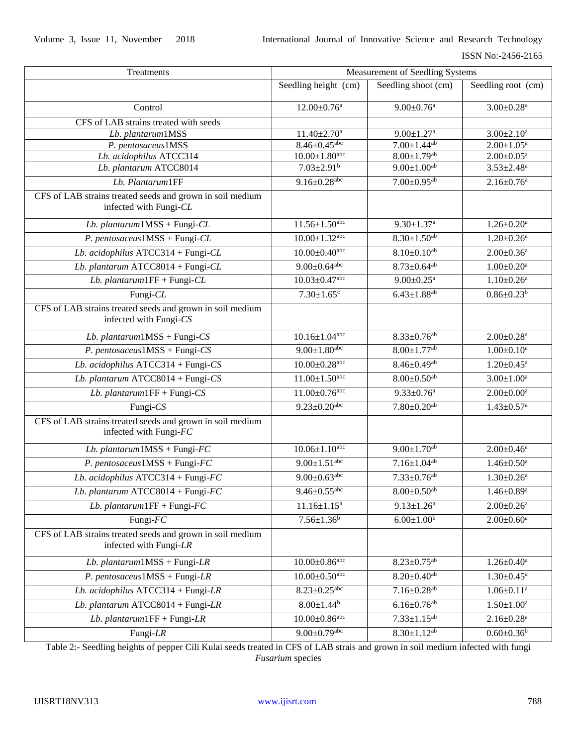| Treatments                                                                             | Measurement of Seedling Systems |                               |                              |
|----------------------------------------------------------------------------------------|---------------------------------|-------------------------------|------------------------------|
|                                                                                        | Seedling height (cm)            | Seedling shoot (cm)           | Seedling root (cm)           |
| Control                                                                                | $12.00 \pm 0.76$ <sup>a</sup>   | $9.00 \pm 0.76$ <sup>a</sup>  | $3.00 \pm 0.28$ <sup>a</sup> |
| CFS of LAB strains treated with seeds                                                  |                                 |                               |                              |
| Lb. plantarum1MSS                                                                      | $11.40 \pm 2.70$ <sup>a</sup>   | $9.00 \pm 1.27$ <sup>a</sup>  | $3.00 \pm 2.10^a$            |
| P. pentosaceus1MSS                                                                     | $8.46 \pm 0.45$ <sup>abc</sup>  | $7.00 \pm 1.44$ <sup>ab</sup> | $2.00{\pm}1.05^{\mathrm{a}}$ |
| Lb. acidophilus ATCC314                                                                | $10.00 \pm 1.80$ <sup>abc</sup> | $8.00 \pm 1.79$ <sup>ab</sup> | $2.00\pm0.05^{\mathrm{a}}$   |
| Lb. plantarum ATCC8014                                                                 | $7.03 \pm 2.91$ <sup>b</sup>    | $9.00 \pm 1.00$ <sup>ab</sup> | $3.53 \pm 2.48^a$            |
| Lb. Plantarum1FF                                                                       | $9.16 \pm 0.28$ <sup>abc</sup>  | $7.00 \pm 0.95$ <sup>ab</sup> | $2.16 \pm 0.76$ <sup>a</sup> |
| CFS of LAB strains treated seeds and grown in soil medium<br>infected with Fungi-CL    |                                 |                               |                              |
| Lb. plantarum $1MSS + Fungi-CL$                                                        | $11.56 \pm 1.50$ <sup>abc</sup> | $9.30 \pm 1.37$ <sup>a</sup>  | $1.26 \pm 0.20$ <sup>a</sup> |
| $P.$ pentosaceus $1MSS + Fungi-CL$                                                     | $10.00 \pm 1.32$ <sup>abc</sup> | $8.30 \pm 1.50$ <sup>ab</sup> | $1.20 \pm 0.26$ <sup>a</sup> |
| Lb. acidophilus $ATCC314 + Fungi-CL$                                                   | $10.00 \pm 0.40$ <sup>abc</sup> | $8.10 \pm 0.10$ <sup>ab</sup> | $2.00 \pm 0.36$ <sup>a</sup> |
| Lb. plantarum ATCC8014 + Fungi-CL                                                      | $9.00 \pm 0.64$ <sup>abc</sup>  | $8.73 \pm 0.64$ <sup>ab</sup> | $1.00 \pm 0.20^{\text{a}}$   |
| Lb. plantarum1FF + Fungi- $CL$                                                         | $10.03 \pm 0.47$ <sup>abc</sup> | $9.00 \pm 0.25$ <sup>a</sup>  | $1.10 \pm 0.26^a$            |
| Fungi-CL                                                                               | $7.30 \pm 1.65$ <sup>c</sup>    | $6.43 \pm 1.88$ <sup>ab</sup> | $0.86 \pm 0.23^b$            |
| CFS of LAB strains treated seeds and grown in soil medium<br>infected with Fungi- $CS$ |                                 |                               |                              |
| Lb. plantarum $1MSS + Fungi-CS$                                                        | $10.16 \pm 1.04$ <sup>abc</sup> | $8.33 \pm 0.76$ <sup>ab</sup> | $2.00 \pm 0.28$ <sup>a</sup> |
| $P.$ pentosaceus1MSS + Fungi-CS                                                        | $9.00 \pm 1.80$ <sup>abc</sup>  | $8.00 \pm 1.77$ <sup>ab</sup> | $1.00 \pm 0.10^a$            |
| Lb. acidophilus $ATCC314 + Fungi-CS$                                                   | $10.00 \pm 0.28$ <sup>abc</sup> | $8.46 \pm 0.49$ <sup>ab</sup> | $1.20 \pm 0.45$ <sup>a</sup> |
| Lb. plantarum ATCC8014 + Fungi-CS                                                      | $11.00 \pm 1.50$ <sup>abc</sup> | $8.00 \pm 0.50$ <sup>ab</sup> | $3.00 \pm 1.00^a$            |
| Lb. plantarum1FF + Fungi- $CS$                                                         | $11.00 \pm 0.76$ abc            | $9.33 \pm 0.76$ <sup>a</sup>  | $2.00 \pm 0.00^a$            |
| Fungi- $CS$                                                                            | $9.23 \pm 0.20$ abc             | $7.80 \pm 0.20$ <sup>ab</sup> | $1.43 \pm 0.57$ <sup>a</sup> |
| CFS of LAB strains treated seeds and grown in soil medium<br>infected with Fungi- $FC$ |                                 |                               |                              |
| Lb. plantarum $1MSS + Fungi-FC$                                                        | $10.06 \pm 1.10^{abc}$          | $9.00 \pm 1.70$ <sup>ab</sup> | $2.00 \pm 0.46^a$            |
| $P.$ pentosaceus1MSS + Fungi- $FC$                                                     | $9.00 \pm 1.51$ <sup>abc</sup>  | $7.16 \pm 1.04^{ab}$          | $1.46 \pm 0.50^a$            |
| Lb. acidophilus ATCC314 + Fungi-FC                                                     | $9.00 \pm 0.63$ <sup>abc</sup>  | $7.33 \pm 0.76$ <sup>ab</sup> | $1.30 \pm 0.26$ <sup>a</sup> |
| Lb. plantarum ATCC8014 + Fungi-FC                                                      | $9.46 \pm 0.55$ abc             | $8.00 \pm 0.50$ <sup>ab</sup> | $1.46 \pm 0.89$ <sup>a</sup> |
| Lb. plantarum1FF + Fungi- $FC$                                                         | $11.16 \pm 1.15^a$              | $9.13 \pm 1.26^a$             | $2.00 \pm 0.26$ <sup>a</sup> |
| Fungi- $FC$                                                                            | $7.56 \pm 1.36$ <sup>b</sup>    | $6.00 \pm 1.00^b$             | $2.00\pm0.60^{\mathrm{a}}$   |
| CFS of LAB strains treated seeds and grown in soil medium<br>infected with Fungi-LR    |                                 |                               |                              |
| Lb. plantarum $1MSS + Fungi-LR$                                                        | $10.00 \pm 0.86$ <sup>abc</sup> | $8.23 \pm 0.75$ <sup>ab</sup> | $1.26 \pm 0.40^a$            |
| $P.$ pentosaceus $1MSS + Fungi-LR$                                                     | $10.00 \pm 0.50$ <sup>abc</sup> | $8.20 \pm 0.40^{ab}$          | $1.30 \pm 0.45$ <sup>a</sup> |
| Lb. acidophilus $ATCC314 + Fungi-LR$                                                   | $8.23 \pm 0.25$ <sup>abc</sup>  | $7.16 \pm 0.28$ <sup>ab</sup> | $1.06 \pm 0.11$ <sup>a</sup> |
| Lb. plantarum ATCC8014 + Fungi-LR                                                      | $8.00 \pm 1.44$ <sup>b</sup>    | $6.16 \pm 0.76$ <sup>ab</sup> | $1.50 \pm 1.00^a$            |
| Lb. plantarum $1FF + F$ ungi-LR                                                        | $10.00 \pm 0.86^{\rm abc}$      | $7.33 \pm 1.15^{ab}$          | $2.16 \pm 0.28$ <sup>a</sup> |
| Fungi-LR                                                                               | $9.00 \pm 0.79$ abc             | $8.30 \pm 1.12$ <sup>ab</sup> | $0.60 \pm 0.36^b$            |

Table 2:- Seedling heights of pepper Cili Kulai seeds treated in CFS of LAB strais and grown in soil medium infected with fungi *Fusarium* species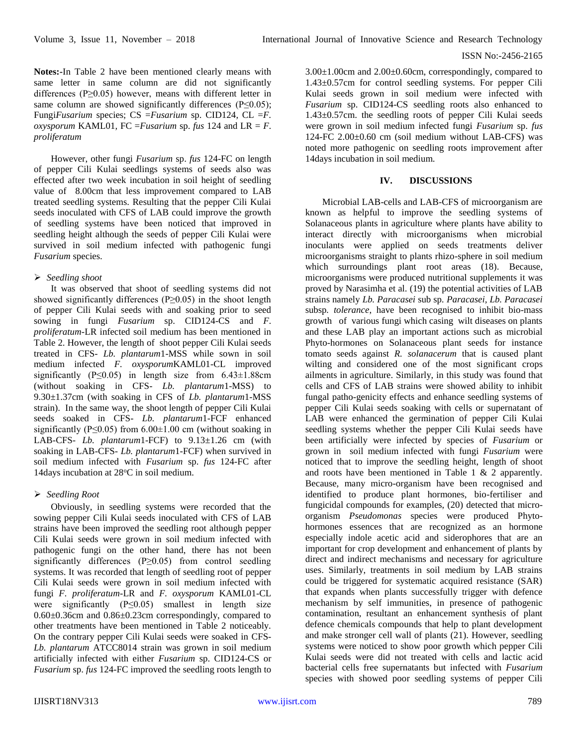**Notes:-**In Table 2 have been mentioned clearly means with same letter in same column are did not significantly differences (P≥0.05) however, means with different letter in same column are showed significantly differences ( $P \le 0.05$ ); Fungi*Fusarium* species; CS =*Fusarium* sp. CID124*,* CL =*F. oxysporum* KAML01, FC = *Fusarium* sp. *fus* 124 and LR =  $F$ . *proliferatum*

However, other fungi *Fusarium* sp. *fus* 124-FC on length of pepper Cili Kulai seedlings systems of seeds also was effected after two week incubation in soil height of seedling value of 8.00cm that less improvement compared to LAB treated seedling systems. Resulting that the pepper Cili Kulai seeds inoculated with CFS of LAB could improve the growth of seedling systems have been noticed that improved in seedling height although the seeds of pepper Cili Kulai were survived in soil medium infected with pathogenic fungi *Fusarium* species.

# *Seedling shoot*

It was observed that shoot of seedling systems did not showed significantly differences (P≥0.05) in the shoot length of pepper Cili Kulai seeds with and soaking prior to seed sowing in fungi *Fusarium* sp. CID124-CS and *F. proliferatum*-LR infected soil medium has been mentioned in Table 2. However, the length of shoot pepper Cili Kulai seeds treated in CFS- *Lb. plantarum*1-MSS while sown in soil medium infected *F. oxysporum*KAML01-CL improved significantly (P≤0.05) in length size from  $6.43\pm1.88$ cm (without soaking in CFS- *Lb. plantarum*1-MSS) to 9.30±1.37cm (with soaking in CFS of *Lb. plantarum*1-MSS strain). In the same way, the shoot length of pepper Cili Kulai seeds soaked in CFS- *Lb. plantarum*1-FCF enhanced significantly (P≤0.05) from  $6.00\pm1.00$  cm (without soaking in LAB-CFS- *Lb. plantarum*1-FCF) to 9.13±1.26 cm (with soaking in LAB-CFS- *Lb. plantarum*1-FCF) when survived in soil medium infected with *Fusarium* sp. *fus* 124-FC after 14days incubation at 28°C in soil medium.

# *Seedling Root*

Obviously, in seedling systems were recorded that the sowing pepper Cili Kulai seeds inoculated with CFS of LAB strains have been improved the seedling root although pepper Cili Kulai seeds were grown in soil medium infected with pathogenic fungi on the other hand, there has not been significantly differences (P≥0.05) from control seedling systems. It was recorded that length of seedling root of pepper Cili Kulai seeds were grown in soil medium infected with fungi *F. proliferatum*-LR and *F. oxysporum* KAML01-CL were significantly  $(P \le 0.05)$  smallest in length size 0.60±0.36cm and 0.86±0.23cm correspondingly, compared to other treatments have been mentioned in Table 2 noticeably. On the contrary pepper Cili Kulai seeds were soaked in CFS-*Lb. plantarum* ATCC8014 strain was grown in soil medium artificially infected with either *Fusarium* sp. CID124-CS or *Fusarium* sp. *fus* 124-FC improved the seedling roots length to

3.00±1.00cm and 2.00±0.60cm, correspondingly, compared to 1.43±0.57cm for control seedling systems. For pepper Cili Kulai seeds grown in soil medium were infected with *Fusarium* sp. CID124-CS seedling roots also enhanced to 1.43±0.57cm. the seedling roots of pepper Cili Kulai seeds were grown in soil medium infected fungi *Fusarium* sp. *fus* 124-FC 2.00±0.60 cm (soil medium without LAB-CFS) was noted more pathogenic on seedling roots improvement after 14days incubation in soil medium.

# **IV. DISCUSSIONS**

Microbial LAB-cells and LAB-CFS of microorganism are known as helpful to improve the seedling systems of Solanaceous plants in agriculture where plants have ability to interact directly with microorganisms when microbial inoculants were applied on seeds treatments deliver microorganisms straight to plants rhizo-sphere in soil medium which surroundings plant root areas (18). Because, microorganisms were produced nutritional supplements it was proved by Narasimha et al. (19) the potential activities of LAB strains namely *Lb. Paracasei* sub sp*. Paracasei, Lb. Paracasei*  subsp*. tolerance*, have been recognised to inhibit bio-mass growth of various fungi which casing wilt diseases on plants and these LAB play an important actions such as microbial Phyto-hormones on Solanaceous plant seeds for instance tomato seeds against *R. solanacerum* that is caused plant wilting and considered one of the most significant crops ailments in agriculture. Similarly, in this study was found that cells and CFS of LAB strains were showed ability to inhibit fungal patho-genicity effects and enhance seedling systems of pepper Cili Kulai seeds soaking with cells or supernatant of LAB were enhanced the germination of pepper Cili Kulai seedling systems whether the pepper Cili Kulai seeds have been artificially were infected by species of *Fusarium* or grown in soil medium infected with fungi *Fusarium* were noticed that to improve the seedling height, length of shoot and roots have been mentioned in Table 1 & 2 apparently. Because, many micro-organism have been recognised and identified to produce plant hormones, bio-fertiliser and fungicidal compounds for examples, (20) detected that microorganism *Pseudomonas* species were produced Phytohormones essences that are recognized as an hormone especially indole acetic acid and siderophores that are an important for crop development and enhancement of plants by direct and indirect mechanisms and necessary for agriculture uses. Similarly, treatments in soil medium by LAB strains could be triggered for systematic acquired resistance (SAR) that expands when plants successfully trigger with defence mechanism by self immunities, in presence of pathogenic contamination, resultant an enhancement synthesis of plant defence chemicals compounds that help to plant development and make stronger cell wall of plants (21). However, seedling systems were noticed to show poor growth which pepper Cili Kulai seeds were did not treated with cells and lactic acid bacterial cells free supernatants but infected with *Fusarium* species with showed poor seedling systems of pepper Cili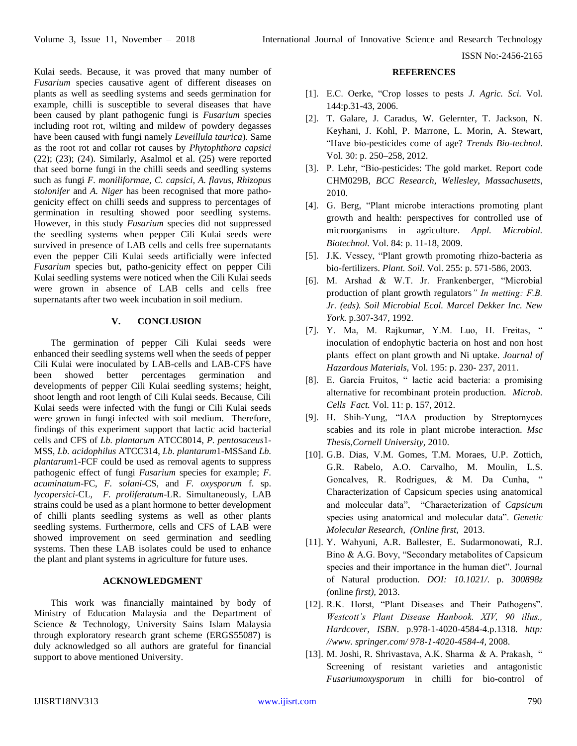Kulai seeds. Because, it was proved that many number of *Fusarium* species causative agent of different diseases on plants as well as seedling systems and seeds germination for example, chilli is susceptible to several diseases that have been caused by plant pathogenic fungi is *Fusarium* species including root rot, wilting and mildew of powdery degasses have been caused with fungi namely *Leveillula taurica*). Same as the root rot and collar rot causes by *Phytophthora capsici*  $(22)$ ;  $(23)$ ;  $(24)$ . Similarly, Asalmol et al.  $(25)$  were reported that seed borne fungi in the chilli seeds and seedling systems such as fungi *F. moniliformae, C. capsici, A. flavus, Rhizopus stolonifer* and *A. Niger* has been recognised that more pathogenicity effect on chilli seeds and suppress to percentages of germination in resulting showed poor seedling systems. However, in this study *Fusarium* species did not suppressed the seedling systems when pepper Cili Kulai seeds were survived in presence of LAB cells and cells free supernatants even the pepper Cili Kulai seeds artificially were infected *Fusarium* species but, patho-genicity effect on pepper Cili Kulai seedling systems were noticed when the Cili Kulai seeds were grown in absence of LAB cells and cells free supernatants after two week incubation in soil medium.

# **V. CONCLUSION**

The germination of pepper Cili Kulai seeds were enhanced their seedling systems well when the seeds of pepper Cili Kulai were inoculated by LAB-cells and LAB-CFS have been showed better percentages germination and developments of pepper Cili Kulai seedling systems; height, shoot length and root length of Cili Kulai seeds. Because, Cili Kulai seeds were infected with the fungi or Cili Kulai seeds were grown in fungi infected with soil medium. Therefore, findings of this experiment support that lactic acid bacterial cells and CFS of *Lb. plantarum* ATCC8014, *P. pentosaceus*1- MSS, *Lb. acidophilus* ATCC314, *Lb. plantarum*1-MSSand *Lb. plantarum*1-FCF could be used as removal agents to suppress pathogenic effect of fungi *Fusarium* species for example; *F. acuminatum*-FC, *F. solani*-CS*,* and *F. oxysporum* f. sp. *lycopersici*-CL*, F. proliferatum*-LR. Simultaneously, LAB strains could be used as a plant hormone to better development of chilli plants seedling systems as well as other plants seedling systems. Furthermore, cells and CFS of LAB were showed improvement on seed germination and seedling systems. Then these LAB isolates could be used to enhance the plant and plant systems in agriculture for future uses.

# **ACKNOWLEDGMENT**

This work was financially maintained by body of Ministry of Education Malaysia and the Department of Science & Technology, University Sains Islam Malaysia through exploratory research grant scheme (ERGS55087) is duly acknowledged so all authors are grateful for financial support to above mentioned University.

#### **REFERENCES**

- [1]. E.C. Oerke, "Crop losses to pests *J. Agric. Sci.* Vol. 144:p.31-43, 2006.
- [2]. T. Galare, J. Caradus, W. Gelernter, T. Jackson, N. Keyhani, J. Kohl, P. Marrone, L. Morin, A. Stewart, "Have bio-pesticides come of age? *Trends Bio-technol*. Vol. 30: p. 250–258, 2012.
- [3]. P. Lehr, "Bio-pesticides: The gold market. Report code CHM029B, *BCC Research, Wellesley, Massachusetts*, 2010.
- [4]. G. Berg, "Plant microbe interactions promoting plant growth and health: perspectives for controlled use of microorganisms in agriculture. *Appl. Microbiol. Biotechnol.* Vol. 84: p. 11-18, 2009.
- [5]. J.K. Vessey, "Plant growth promoting rhizo-bacteria as bio-fertilizers. *Plant. Soil.* Vol. 255: p. 571-586, 2003.
- [6]. M. Arshad & W.T. Jr. Frankenberger, "Microbial production of plant growth regulators*" In metting: F.B. Jr. (eds). Soil Microbial Ecol. Marcel Dekker Inc. New York.* p.307-347, 1992.
- [7]. Y. Ma, M. Rajkumar, Y.M. Luo, H. Freitas, " inoculation of endophytic bacteria on host and non host plants effect on plant growth and Ni uptake. *Journal of Hazardous Materials,* Vol. 195: p. 230- 237, 2011.
- [8]. E. Garcia Fruitos, " lactic acid bacteria: a promising alternative for recombinant protein production. *Microb. Cells Fact.* Vol. 11: p. 157, 2012.
- [9]. H. Shih-Yung, "IAA production by Streptomyces scabies and its role in plant microbe interaction. *Msc Thesis,Cornell University,* 2010.
- [10]. G.B. Dias, V.M. Gomes, T.M. Moraes, U.P. Zottich, G.R. Rabelo, A.O. Carvalho, M. Moulin, L.S. Goncalves, R. Rodrigues, & M. Da Cunha, " Characterization of Capsicum species using anatomical and molecular data", "Characterization of *Capsicum*  species using anatomical and molecular data". *Genetic Molecular Research, (Online first,* 2013.
- [11]. Y. Wahyuni, A.R. Ballester, E. Sudarmonowati, R.J. Bino & A.G. Bovy, "Secondary metabolites of Capsicum species and their importance in the human diet". Journal of Natural production*. DOI: 10.1021/*. p. *300898z (*online *first),* 2013.
- [12]. R.K. Horst, "Plant Diseases and Their Pathogens". *Westcott's Plant Disease Hanbook. XIV, 90 illus., Hardcover, ISBN*. p.978-1-4020-4584-4.p.1318. *[http:](http://www.springer.com/978-1-4020-4584-4)  [//www. springer.com/ 978-1-4020-4584-4,](http://www.springer.com/978-1-4020-4584-4)* 2008.
- [13]. M. Joshi, R. Shrivastava, A.K. Sharma & A. Prakash, " Screening of resistant varieties and antagonistic *Fusariumoxysporum* in chilli for bio-control of